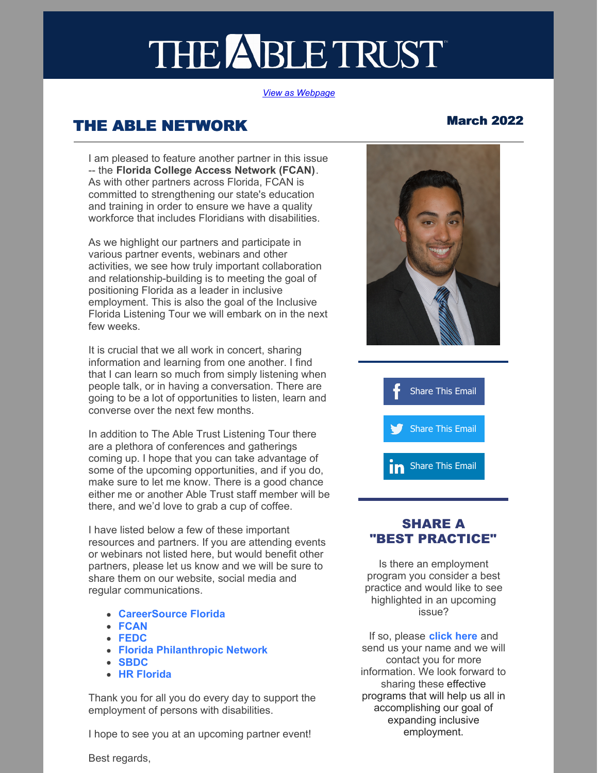# THE ABLE TRUST

#### *View as [Webpage](https://campaignlp.constantcontact.com/em/1114282322516/cefc7eca-4c6b-4284-91e4-730c546a17ae)*

# THE ABLE NETWORK March 2022

I am pleased to feature another partner in this issue -- the **Florida College Access Network (FCAN)**. As with other partners across Florida, FCAN is committed to strengthening our state's education and training in order to ensure we have a quality workforce that includes Floridians with disabilities.

As we highlight our partners and participate in various partner events, webinars and other activities, we see how truly important collaboration and relationship-building is to meeting the goal of positioning Florida as a leader in inclusive employment. This is also the goal of the Inclusive Florida Listening Tour we will embark on in the next few weeks.

It is crucial that we all work in concert, sharing information and learning from one another. I find that I can learn so much from simply listening when people talk, or in having a conversation. There are going to be a lot of opportunities to listen, learn and converse over the next few months.

In addition to The Able Trust Listening Tour there are a plethora of conferences and gatherings coming up. I hope that you can take advantage of some of the upcoming opportunities, and if you do, make sure to let me know. There is a good chance either me or another Able Trust staff member will be there, and we'd love to grab a cup of coffee.

I have listed below a few of these important resources and partners. If you are attending events or webinars not listed here, but would benefit other partners, please let us know and we will be sure to share them on our website, social media and regular communications.

- **[CareerSource](https://careersourceflorida.com/) Florida**
- **[FCAN](https://www.fcansummit.org/home)**
- **[FEDC](https://www.fedconline.org/fedc-conference/)**
- **Florida [Philanthropic](https://www.fpnetwork.org/) Network**
- **[SBDC](https://clients.floridasbdc.org/events.aspx)**
- **HR [Florida](https://www.hrflorida.org/)**

Thank you for all you do every day to support the employment of persons with disabilities.

I hope to see you at an upcoming partner event!





## SHARE A "BEST PRACTICE"

Is there an employment program you consider a best practice and would like to see highlighted in an upcoming issue?

If so, please **[click](mailto:joseph@abletrust.org) here** and send us your name and we will contact you for more information. We look forward to sharing these effective programs that will help us all in accomplishing our goal of expanding inclusive employment.

#### Best regards,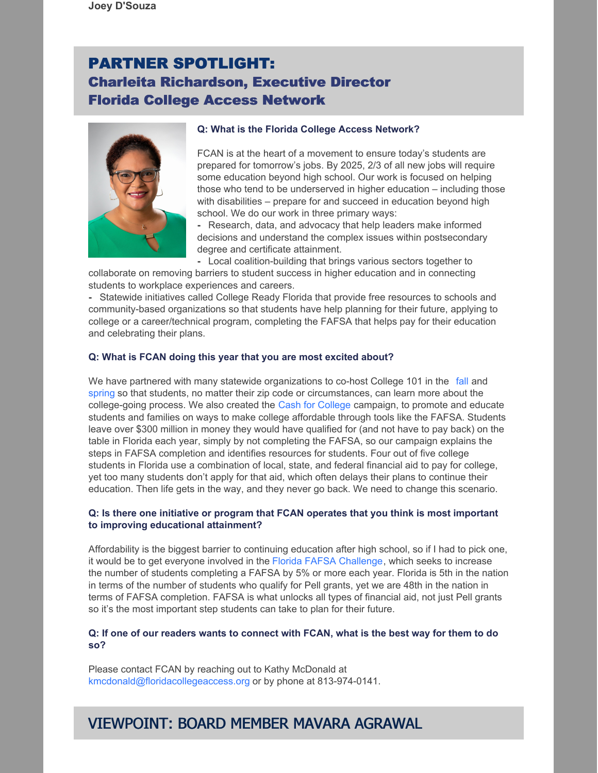# PARTNER SPOTLIGHT: Charleita Richardson, Executive Director Florida College Access Network



#### **Q: What is the Florida College Access Network?**

FCAN is at the heart of a movement to ensure today's students are prepared for tomorrow's jobs. By 2025, 2/3 of all new jobs will require some education beyond high school. Our work is focused on helping those who tend to be underserved in higher education – including those with disabilities – prepare for and succeed in education beyond high school. We do our work in three primary ways:

**-** Research, data, and advocacy that help leaders make informed decisions and understand the complex issues within postsecondary degree and certificate attainment.

**-** Local coalition-building that brings various sectors together to collaborate on removing barriers to student success in higher education and in connecting students to workplace experiences and careers.

**-** Statewide initiatives called College Ready Florida that provide free resources to schools and community-based organizations so that students have help planning for their future, applying to college or a career/technical program, completing the FAFSA that helps pay for their education and celebrating their plans.

#### **Q: What is FCAN doing this year that you are most excited about?**

We have partnered with many statewide organizations to co-host College 101 in the [fall](https://www.floridashines.org/go-to-college/get-ready-for-college/college-101-fall-2021) and [spring](https://www.floridashines.org/go-to-college/get-ready-for-college/college-101-event) so that students, no matter their zip code or circumstances, can learn more about the college-going process. We also created the Cash for [College](https://floridacollegeaccess.org/cashforcollege/) campaign, to promote and educate students and families on ways to make college affordable through tools like the FAFSA. Students leave over \$300 million in money they would have qualified for (and not have to pay back) on the table in Florida each year, simply by not completing the FAFSA, so our campaign explains the steps in FAFSA completion and identifies resources for students. Four out of five college students in Florida use a combination of local, state, and federal financial aid to pay for college, yet too many students don't apply for that aid, which often delays their plans to continue their education. Then life gets in the way, and they never go back. We need to change this scenario.

#### **Q: Is there one initiative or program that FCAN operates that you think is most important to improving educational attainment?**

Affordability is the biggest barrier to continuing education after high school, so if I had to pick one, it would be to get everyone involved in the Florida FAFSA [Challenge](https://floridacollegeaccess.org/initiatives/florida-fafsa-challenge/), which seeks to increase the number of students completing a FAFSA by 5% or more each year. Florida is 5th in the nation in terms of the number of students who qualify for Pell grants, yet we are 48th in the nation in terms of FAFSA completion. FAFSA is what unlocks all types of financial aid, not just Pell grants so it's the most important step students can take to plan for their future.

#### Q: If one of our readers wants to connect with FCAN, what is the best way for them to do **so?**

Please contact FCAN by reaching out to Kathy McDonald at [kmcdonald@floridacollegeaccess.org](mailto:kmcdonald@floridacollegeaccess.org) or by phone at 813-974-0141.

# VIEWPOINT: BOARD MEMBER MAVARA AGRAWAL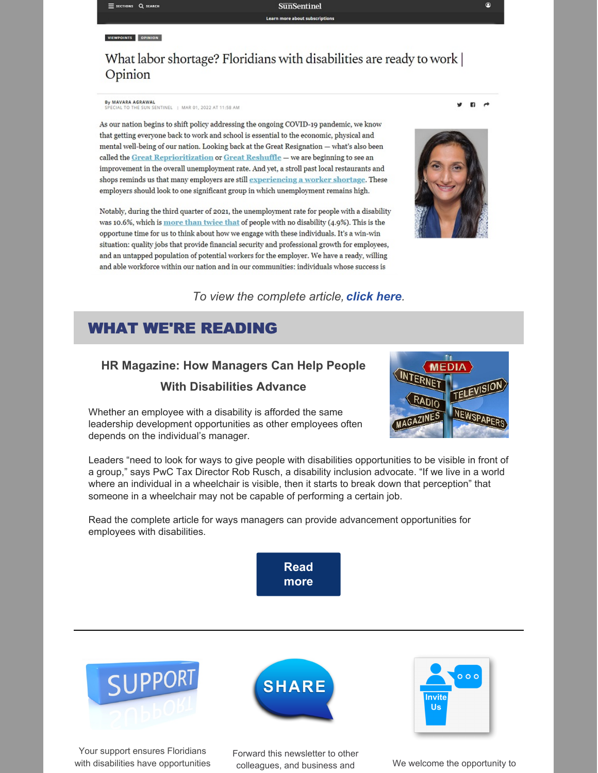## What labor shortage? Floridians with disabilities are ready to work | Opinion

By MAVARA AGRAWAL<br>SPECIAL TO THE SUN SENTINEL | MAR 01, 2022 AT 11:58 AM

As our nation begins to shift policy addressing the ongoing COVID-19 pandemic, we know that getting everyone back to work and school is essential to the economic, physical and mental well-being of our nation. Looking back at the Great Resignation - what's also been called the Great Reprioritization or Great Reshuffle - we are beginning to see an improvement in the overall unemployment rate. And yet, a stroll past local restaurants and shops reminds us that many employers are still experiencing a worker shortage. These employers should look to one significant group in which unemployment remains high.

Notably, during the third quarter of 2021, the unemployment rate for people with a disability was 10.6%, which is more than twice that of people with no disability (4.9%). This is the opportune time for us to think about how we engage with these individuals. It's a win-win situation: quality jobs that provide financial security and professional growth for employees, and an untapped population of potential workers for the employer. We have a ready, willing and able workforce within our nation and in our communities: individuals whose success is



*To view the complete article, [click](https://r20.rs6.net/tn.jsp?f=001twHj4VQJ-nyjr6cOrK0lRTlto-H_KWKrCnO53gRm2SZpWck4yewkPGopg2xyhDVczJJleeLamduDeMd8hJRIg9d5nTpK_NmmpTTE3cMTdDi8Hl9lb-B9d3UTOfVzvjC3btFuE0-g8t73y6OmUuC_rHyU7jpX8gSZDHTd1XdiAd9Cdp9DGEiuo8bosd47heMHPJ7LKlrSipRUOCjxLxv52QNqYnJ0zWbhLhS-zjoT0hiW25P9xY0ey1i74q42VixCPk5nmGybL28qp80oWBEfLh6gPScpdUdK&c=97N86TDUceZw0calatwEwyMtC2FF3gt5vEGtR3EaqsYQcsC55BCjRA==&ch=BgIj8Ing3FP4s4lPSsUoCCGzmwuC3QyaPZetMJ8WPTiL1ex6c_QF7w==) here.*

### WHAT WE'RE READING

## **HR Magazine: How Managers Can Help People With Disabilities Advance**

Whether an employee with a disability is afforded the same leadership development opportunities as other employees often depends on the individual's manager.



Leaders "need to look for ways to give people with disabilities opportunities to be visible in front of a group," says PwC Tax Director Rob Rusch, a disability inclusion advocate. "If we live in a world where an individual in a wheelchair is visible, then it starts to break down that perception" that someone in a wheelchair may not be capable of performing a certain job.

Read the complete article for ways managers can provide advancement opportunities for employees with disabilities.





Your support ensures Floridians with disabilities have opportunities



Forward this newsletter to other colleagues, and business and We welcome the opportunity to



 $\mathbf{B}$   $\rightarrow$